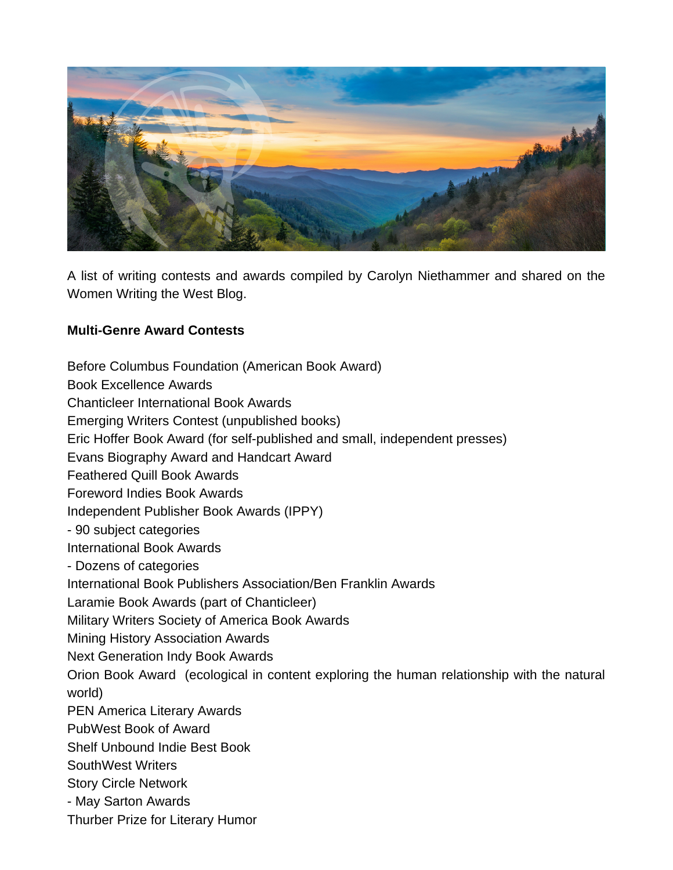

A list of writing contests and awards compiled by Carolyn Niethammer and shared on the Women Writing the West Blog.

## **Multi-Genre Award Contests**

Before Columbus Foundation (American Book Award) Book Excellence Awards Chanticleer International Book Awards Emerging Writers Contest (unpublished books) Eric Hoffer Book Award (for self-published and small, independent presses) Evans Biography Award and Handcart Award Feathered Quill Book Awards Foreword Indies Book Awards Independent Publisher Book Awards (IPPY) - 90 subject categories International Book Awards - Dozens of categories International Book Publishers Association/Ben Franklin Awards Laramie Book Awards (part of Chanticleer) Military Writers Society of America Book Awards Mining History Association Awards Next Generation Indy Book Awards Orion Book Award (ecological in content exploring the human relationship with the natural world) PEN America Literary Awards PubWest Book of Award Shelf Unbound Indie Best Book SouthWest Writers Story Circle Network - May Sarton Awards Thurber Prize for Literary Humor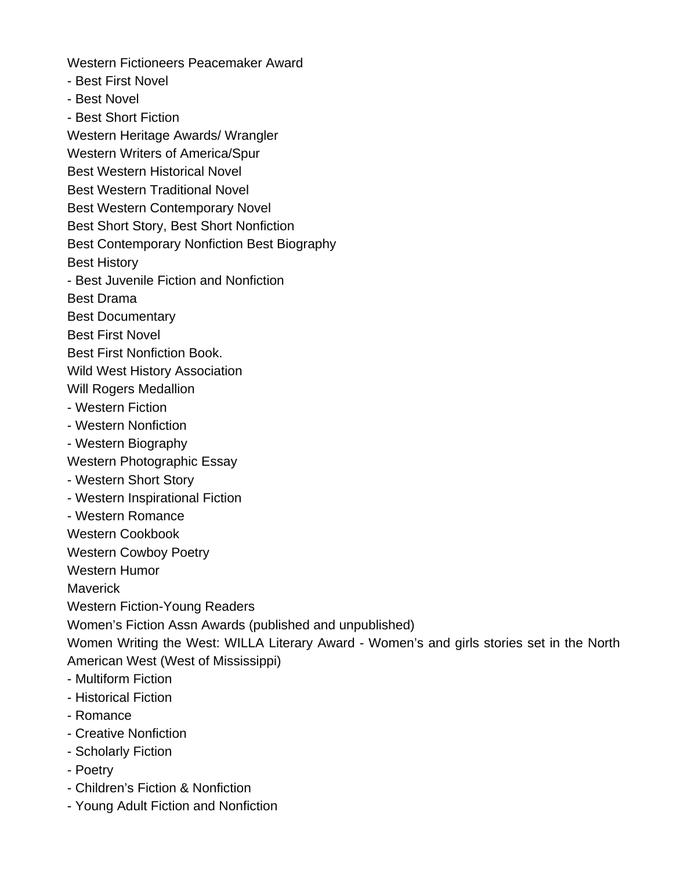Western Fictioneers Peacemaker Award

- Best First Novel
- Best Novel
- Best Short Fiction

Western Heritage Awards/ Wrangler

Western Writers of America/Spur

Best Western Historical Novel

Best Western Traditional Novel

Best Western Contemporary Novel

Best Short Story, Best Short Nonfiction

Best Contemporary Nonfiction Best Biography

Best History

- Best Juvenile Fiction and Nonfiction

Best Drama

Best Documentary

Best First Novel

Best First Nonfiction Book.

Wild West History Association

Will Rogers Medallion

- Western Fiction
- Western Nonfiction
- Western Biography

Western Photographic Essay

- Western Short Story
- Western Inspirational Fiction
- Western Romance

Western Cookbook

Western Cowboy Poetry

Western Humor

Maverick

Western Fiction-Young Readers

Women's Fiction Assn Awards (published and unpublished)

Women Writing the West: WILLA Literary Award - Women's and girls stories set in the North American West (West of Mississippi)

- Multiform Fiction
- Historical Fiction
- Romance
- Creative Nonfiction
- Scholarly Fiction
- Poetry
- Children's Fiction & Nonfiction
- Young Adult Fiction and Nonfiction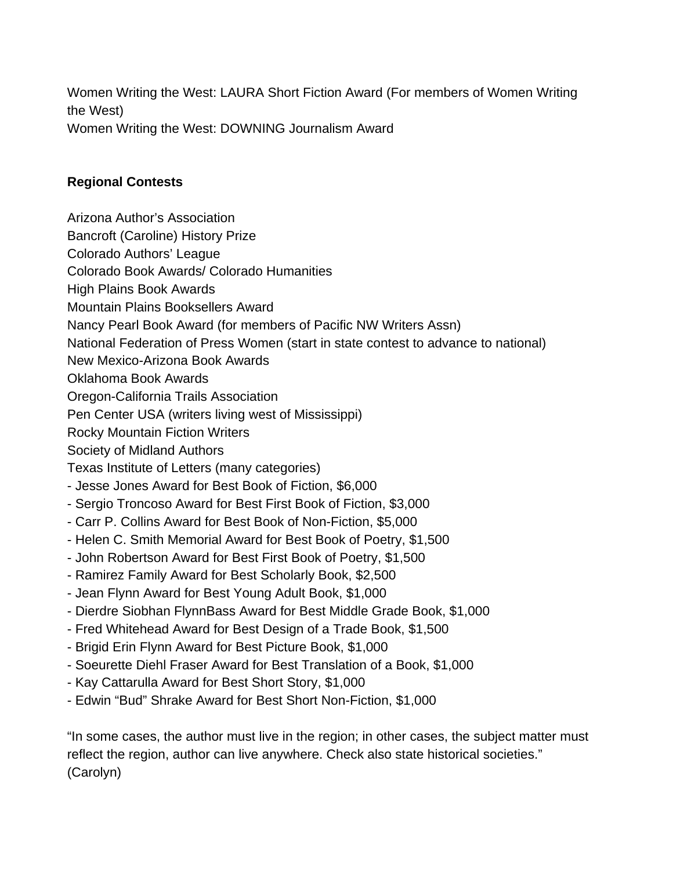Women Writing the West: LAURA Short Fiction Award (For members of Women Writing the West) Women Writing the West: DOWNING Journalism Award

## **Regional Contests**

- Arizona Author's Association
- Bancroft (Caroline) History Prize
- Colorado Authors' League
- Colorado Book Awards/ Colorado Humanities
- High Plains Book Awards
- Mountain Plains Booksellers Award
- Nancy Pearl Book Award (for members of Pacific NW Writers Assn)
- National Federation of Press Women (start in state contest to advance to national)
- New Mexico-Arizona Book Awards
- Oklahoma Book Awards
- Oregon-California Trails Association
- Pen Center USA (writers living west of Mississippi)
- Rocky Mountain Fiction Writers

# Society of Midland Authors

- Texas Institute of Letters (many categories)
- Jesse Jones Award for Best Book of Fiction, \$6,000
- Sergio Troncoso Award for Best First Book of Fiction, \$3,000
- Carr P. Collins Award for Best Book of Non-Fiction, \$5,000
- Helen C. Smith Memorial Award for Best Book of Poetry, \$1,500
- John Robertson Award for Best First Book of Poetry, \$1,500
- Ramirez Family Award for Best Scholarly Book, \$2,500
- Jean Flynn Award for Best Young Adult Book, \$1,000
- Dierdre Siobhan FlynnBass Award for Best Middle Grade Book, \$1,000
- Fred Whitehead Award for Best Design of a Trade Book, \$1,500
- Brigid Erin Flynn Award for Best Picture Book, \$1,000
- Soeurette Diehl Fraser Award for Best Translation of a Book, \$1,000
- Kay Cattarulla Award for Best Short Story, \$1,000
- Edwin "Bud" Shrake Award for Best Short Non-Fiction, \$1,000

"In some cases, the author must live in the region; in other cases, the subject matter must reflect the region, author can live anywhere. Check also state historical societies." (Carolyn)